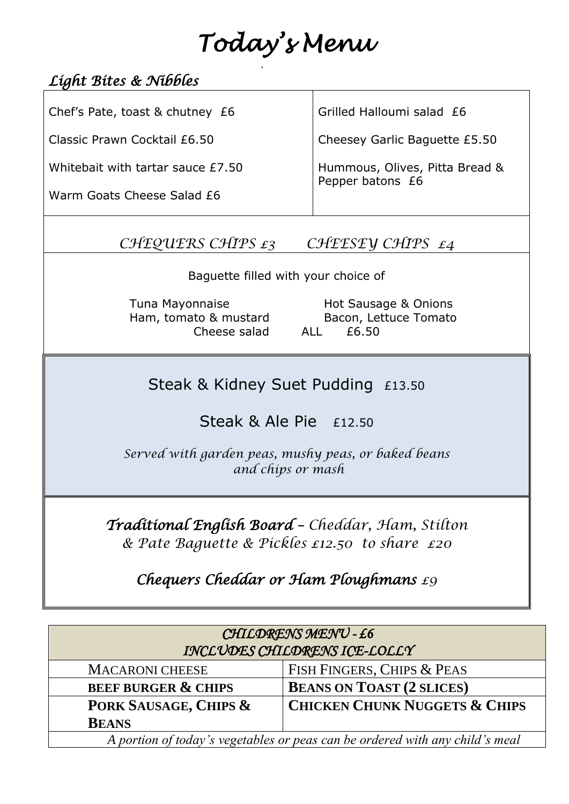# *Today's Menu*

*.* 

## *Light Bites & Nibbles*

| Chef's Pate, toast & chutney £6   | Grilled Halloumi salad £6                          |
|-----------------------------------|----------------------------------------------------|
| Classic Prawn Cocktail £6.50      | Cheesey Garlic Baguette £5.50                      |
| Whitebait with tartar sauce £7.50 | Hummous, Olives, Pitta Bread &<br>Pepper batons £6 |
| Warm Goats Cheese Salad £6        |                                                    |

#### *CHEQUERS CHIPS £3 CHEESEY CHIPS £4*

Baguette filled with your choice of

Cheese salad ALL £6.50

Tuna Mayonnaise **Hot Sausage & Onions** Ham, tomato & mustard Bacon, Lettuce Tomato

## Steak & Kidney Suet Pudding £13.50

## Steak & Ale Pie  $f12.50$

*Served with garden peas, mushy peas, or baked beans and chips or mash*

*Traditional English Board – Cheddar, Ham, Stilton & Pate Baguette & Pickles £12.50 to share £20* 

## *Chequers Cheddar or Ham Ploughmans £9*

| CHILDRENS MENU - £6<br>INCLUDES CHILDRENS ICE-LOLLY                          |                                          |  |
|------------------------------------------------------------------------------|------------------------------------------|--|
| <b>MACARONI CHEESE</b>                                                       | FISH FINGERS, CHIPS & PEAS               |  |
| <b>BEEF BURGER &amp; CHIPS</b>                                               | <b>BEANS ON TOAST (2 SLICES)</b>         |  |
| PORK SAUSAGE, CHIPS &                                                        | <b>CHICKEN CHUNK NUGGETS &amp; CHIPS</b> |  |
| <b>BEANS</b>                                                                 |                                          |  |
| A portion of today's vegetables or peas can be ordered with any child's meal |                                          |  |